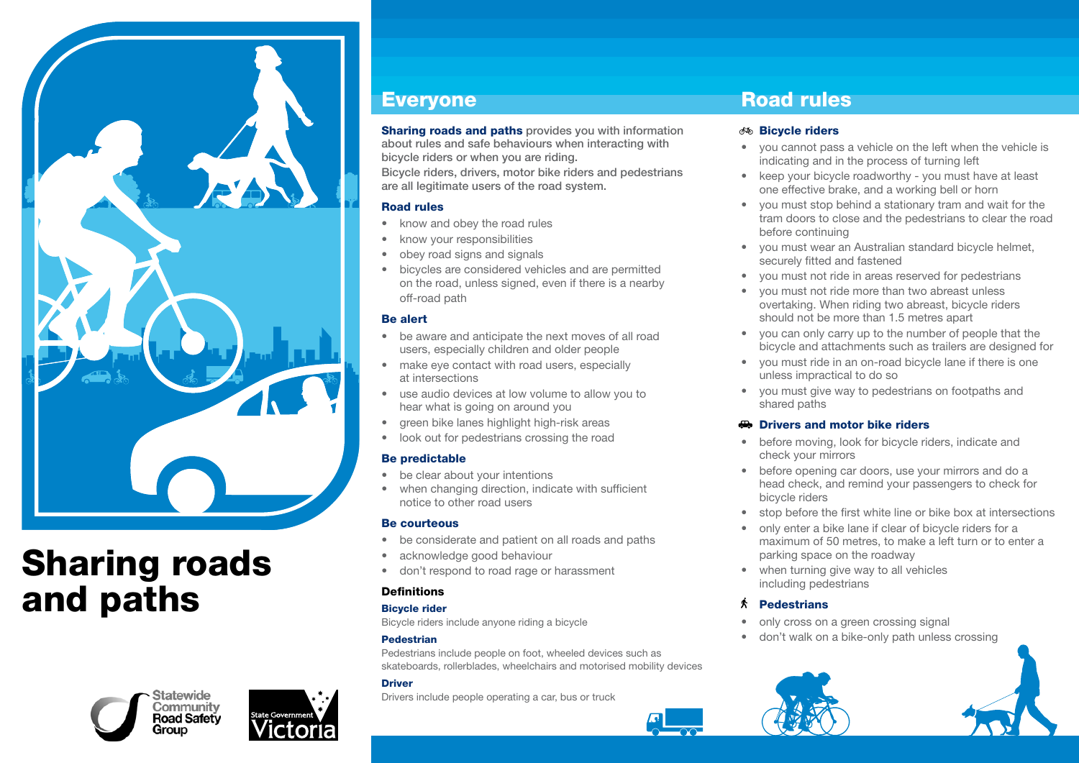

# Sharing roads and paths





### Everyone

**Sharing roads and paths** provides you with information about rules and safe behaviours when interacting with bicycle riders or when you are riding.

Bicycle riders, drivers, motor bike riders and pedestrians are all legitimate users of the road system.

#### Road rules

- know and obey the road rules
- know your responsibilities
- obey road signs and signals
- • bicycles are considered vehicles and are permitted on the road, unless signed, even if there is a nearby off-road path

#### Be alert

- be aware and anticipate the next moves of all road users, especially children and older people
- make eye contact with road users, especially at intersections
- use audio devices at low volume to allow you to hear what is going on around you
- green bike lanes highlight high-risk areas
- look out for pedestrians crossing the road

#### Be predictable

- be clear about your intentions
- when changing direction, indicate with sufficient notice to other road users

#### Be courteous

- • be considerate and patient on all roads and paths
- acknowledge good behaviour
- • don't respond to road rage or harassment

#### **Definitions**

#### Bicycle rider

Bicycle riders include anyone riding a bicycle

#### Pedestrian

Pedestrians include people on foot, wheeled devices such as skateboards, rollerblades, wheelchairs and motorised mobility devices

#### **Driver**

Drivers include people operating a car, bus or truck

## Road rules

#### *M* Bicycle riders

- vou cannot pass a vehicle on the left when the vehicle is indicating and in the process of turning left
- keep your bicycle roadworthy you must have at least one effective brake, and a working bell or horn
- you must stop behind a stationary tram and wait for the tram doors to close and the pedestrians to clear the road before continuing
- vou must wear an Australian standard bicycle helmet, securely fitted and fastened
- • you must not ride in areas reserved for pedestrians
- vou must not ride more than two abreast unless overtaking. When riding two abreast, bicycle riders should not be more than 1.5 metres apart
- • you can only carry up to the number of people that the bicycle and attachments such as trailers are designed for
- • you must ride in an on-road bicycle lane if there is one unless impractical to do so
- • you must give way to pedestrians on footpaths and shared paths

#### **Drivers and motor bike riders**

- before moving, look for bicycle riders, indicate and check your mirrors
- before opening car doors, use your mirrors and do a head check, and remind your passengers to check for bicycle riders
- stop before the first white line or bike box at intersections
- only enter a bike lane if clear of bicycle riders for a maximum of 50 metres, to make a left turn or to enter a parking space on the roadway
- when turning give way to all vehicles including pedestrians

#### 大 **Pedestrians**

- only cross on a green crossing signal
- don't walk on a bike-only path unless crossing

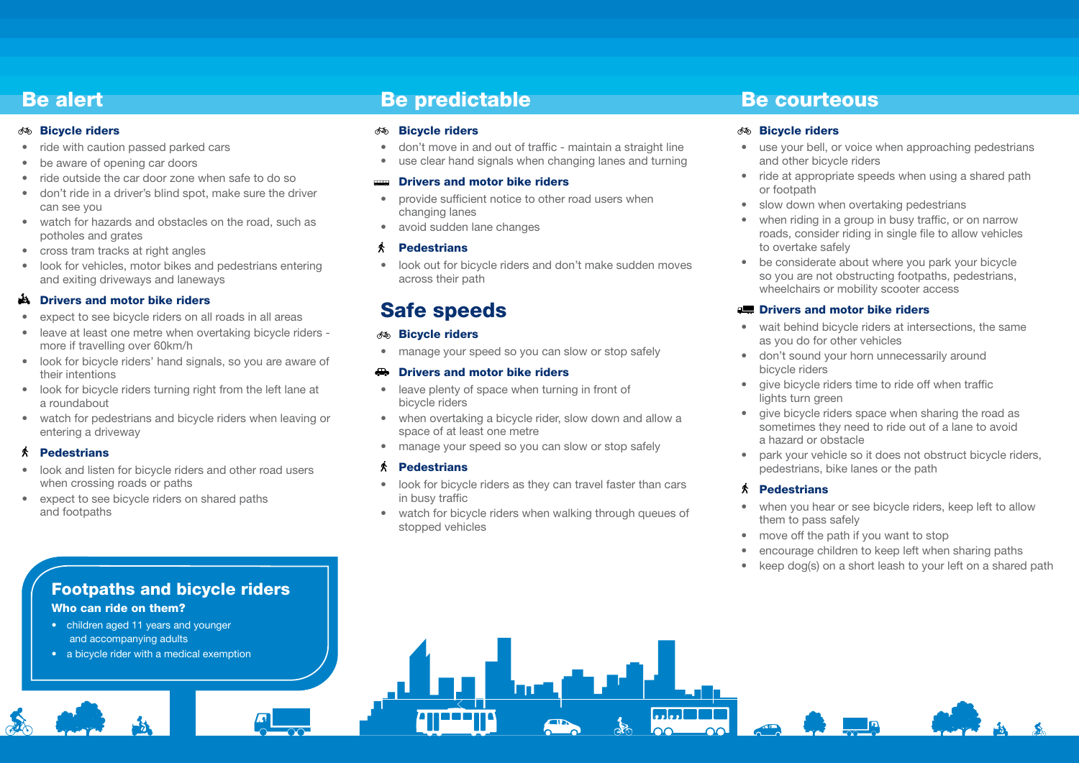### Be alert

#### *M* Bicycle riders

- ride with caution passed parked cars
- be aware of opening car doors
- ride outside the car door zone when safe to do so
- don't ride in a driver's blind spot, make sure the driver can see you
- watch for hazards and obstacles on the road, such as potholes and grates
- cross tram tracks at right angles
- look for vehicles, motor bikes and pedestrians entering and exiting driveways and laneways

#### **A** Drivers and motor bike riders

- expect to see bicycle riders on all roads in all areas
- leave at least one metre when overtaking bicycle riders more if travelling over 60km/h
- look for bicycle riders' hand signals, so you are aware of their intentions
- look for bicycle riders turning right from the left lane at a roundabout
- watch for pedestrians and bicycle riders when leaving or entering a driveway

#### $\hat{\mathbf{A}}$  Pedestrians

- look and listen for bicycle riders and other road users when crossing roads or paths
- expect to see bicycle riders on shared paths and footpaths

### Be predictable

#### Bicycle riders

- don't move in and out of traffic maintain a straight line
- use clear hand signals when changing lanes and turning

#### Drivers and motor bike riders

- provide sufficient notice to other road users when changing lanes
- avoid sudden lane changes

#### 术 **Pedestrians**

• look out for bicycle riders and don't make sudden moves across their path

# Safe speeds

#### **Bicycle riders**

• manage your speed so you can slow or stop safely

#### **Drivers and motor bike riders**

- leave plenty of space when turning in front of bicycle riders
- when overtaking a bicycle rider, slow down and allow a space of at least one metre
- manage your speed so you can slow or stop safely

#### $\hat{\mathbf{A}}$  Pedestrians

- look for bicycle riders as they can travel faster than cars in busy traffic
- watch for bicycle riders when walking through queues of stopped vehicles

### Be courteous

#### *M* Bicycle riders

- use your bell, or voice when approaching pedestrians and other bicycle riders
- ride at appropriate speeds when using a shared path or footpath
- slow down when overtaking pedestrians
- when riding in a group in busy traffic, or on narrow roads, consider riding in single file to allow vehicles to overtake safely
- be considerate about where you park your bicycle so you are not obstructing footpaths, pedestrians, wheelchairs or mobility scooter access

#### **A. Drivers and motor bike riders**

- wait behind bicycle riders at intersections, the same as you do for other vehicles
- • don't sound your horn unnecessarily around bicycle riders
- give bicycle riders time to ride off when traffic lights turn green
- give bicycle riders space when sharing the road as sometimes they need to ride out of a lane to avoid a hazard or obstacle
- park your vehicle so it does not obstruct bicycle riders, pedestrians, bike lanes or the path

### $\hat{\mathbf{A}}$  Pedestrians

- when you hear or see bicycle riders, keep left to allow them to pass safely
- move off the path if you want to stop
- encourage children to keep left when sharing paths
- keep dog(s) on a short leash to your left on a shared path

### Footpaths and bicycle riders Who can ride on them?

- children aged 11 years and younger and accompanying adults
- a bicycle rider with a medical exemption